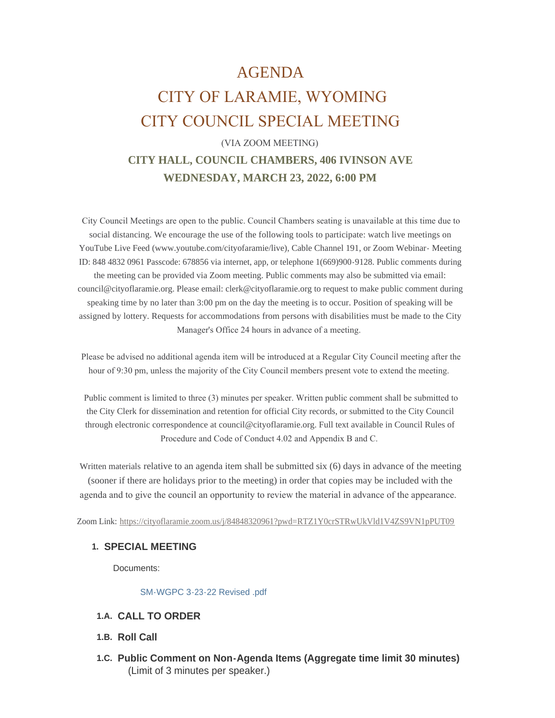# AGENDA CITY OF LARAMIE, WYOMING CITY COUNCIL SPECIAL MEETING

## (VIA ZOOM MEETING) **CITY HALL, COUNCIL CHAMBERS, 406 IVINSON AVE WEDNESDAY, MARCH 23, 2022, 6:00 PM**

 City Council Meetings are open to the public. Council Chambers seating is unavailable at this time due to social distancing. We encourage the use of the following tools to participate: watch live meetings on YouTube Live Feed (www.youtube.com/cityofaramie/live), Cable Channel 191, or Zoom Webinar- Meeting ID: 848 4832 0961 Passcode: 678856 via internet, app, or telephone 1(669)900-9128. Public comments during the meeting can be provided via Zoom meeting. Public comments may also be submitted via email: council@cityoflaramie.org. Please email: clerk@cityoflaramie.org to request to make public comment during speaking time by no later than 3:00 pm on the day the meeting is to occur. Position of speaking will be assigned by lottery. Requests for accommodations from persons with disabilities must be made to the City Manager's Office 24 hours in advance of a meeting.

 Please be advised no additional agenda item will be introduced at a Regular City Council meeting after the hour of 9:30 pm, unless the majority of the City Council members present vote to extend the meeting.

 Public comment is limited to three (3) minutes per speaker. Written public comment shall be submitted to the City Clerk for dissemination and retention for official City records, or submitted to the City Council through electronic correspondence at council@cityoflaramie.org. Full text available in Council Rules of Procedure and Code of Conduct 4.02 and Appendix B and C.

Written materials relative to an agenda item shall be submitted six (6) days in advance of the meeting (sooner if there are holidays prior to the meeting) in order that copies may be included with the agenda and to give the council an opportunity to review the material in advance of the appearance.

Zoom Link: <https://cityoflaramie.zoom.us/j/84848320961?pwd=RTZ1Y0crSTRwUkVld1V4ZS9VN1pPUT09>

#### **SPECIAL MEETING 1.**

Documents:

[SM-WGPC 3-23-22 Revised .pdf](https://www.cityoflaramie.org/AgendaCenter/ViewFile/Item/12064?fileID=16397)

- **CALL TO ORDER 1.A.**
- 1.B. Roll Call
- **Public Comment on Non-Agenda Items (Aggregate time limit 30 minutes) 1.C.** (Limit of 3 minutes per speaker.)